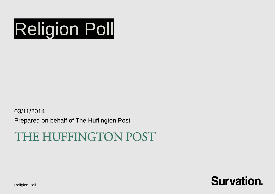

03/11/2014 Prepared on behalf of The Huffington Post

# THE HUFFINGTON POST



Religion Poll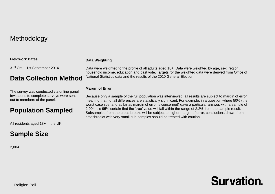## Methodology

### **Fieldwork Dates**

31st Oct – 1st September 2014

## **Data Collection Method**

The survey was conducted via online panel. Invitations to complete surveys were sent out to members of the panel.

## **Population Sampled**

All residents aged 18+ in the UK.

## **Sample Size**

2,004

## **Data Weighting**

Data were weighted to the profile of all adults aged 18+. Data were weighted by age, sex, region, household income, education and past vote. Targets for the weighted data were derived from Office of National Statistics data and the results of the 2010 General Election.

### **Margin of Error**

Because only a sample of the full population was interviewed, all results are subject to margin of error, meaning that not all differences are statistically significant. For example, in a question where 50% (the worst case scenario as far as margin of error is concerned) gave a particular answer, with a sample of 2,004 it is 95% certain that the 'true' value will fall within the range of 2.2% from the sample result. Subsamples from the cross-breaks will be subject to higher margin of error, conclusions drawn from crossbreaks with very small sub-samples should be treated with caution.

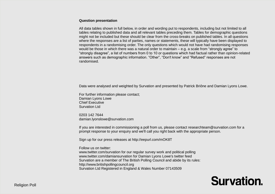#### **Question presentation**

All data tables shown in full below, in order and wording put to respondents, including but not limited to all tables relating to published data and all relevant tables preceding them. Tables for demographic questions might not be included but these should be clear from the cross-breaks on published tables. In all questions where the responses are a list of parties, names or statements, these will typically have been displayed to respondents in a randomising order. The only questions which would not have had randomising responses would be those in which there was a natural order to maintain – e.g. a scale from "strongly agree" to "strongly disagree", a list of numbers from 0 to 10 or questions which had factual rather than opinion-related answers such as demographic information. "Other", "Don't know" and "Refused" responses are not randomised.

Data were analysed and weighted by Survation and presented by Patrick Briône and Damian Lyons Lowe.

For further information please contact; Damian Lyons Lowe Chief Executive Survation Ltd

0203 142 7644 [damian.lyonslowe@survation.com](mailto:damian.lyonslowe@survation.com)

If you are interested in commissioning a poll from us, please contact researchteam@survation.com for a prompt response to your enquiry and we'll call you right back with the appropriate person.

Sign up for our press releases at http://eepurl.com/mOK8T

Follow us on twitter:

www.twitter.com/survation for our regular survey work and political polling www.twitter.com/damiansurvation for Damian Lyons Lowe's twitter feed Survation are a member of The British Polling Council and abide by its rules: [http://www.britishpollingcouncil.org](http://www.britishpollingcouncil.org/) Survation Ltd Registered in England & Wales Number 07143509

# **Survation.**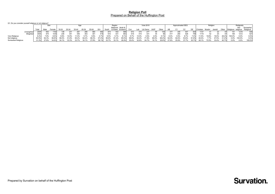#### **Religion Poll** Prepared on Behalf of the Huffington Post

Q1. Do you consider yourself religious or not religious?

|                    |                   |       | つせん   |        |       |       |           |       |       |                  | Regior |         |          | Vote 2010 |       |          |       |       |       | Approximated SEG |       |       |       | Religion |        | Religiosity     |           |           |           |
|--------------------|-------------------|-------|-------|--------|-------|-------|-----------|-------|-------|------------------|--------|---------|----------|-----------|-------|----------|-------|-------|-------|------------------|-------|-------|-------|----------|--------|-----------------|-----------|-----------|-----------|
|                    |                   |       |       |        |       |       |           |       |       | Midlands North & |        |         |          |           |       |          |       |       |       |                  |       |       |       |          |        | Not<br>Somewhat |           |           |           |
|                    |                   | Total | Male  | Female | 18-24 | 25-34 | $35 - 44$ | 45-54 | 55-64 | 65+              | South  | & Wales | Scotland | Con       |       | Lib Dems | UKIF  | Other |       |                  |       |       |       | Muslim   | Jewish | Other           | Religious | religious | Religious |
|                    | <b>Unweighted</b> | 2004  | 842   | 1162   | 138   | 231   | 267       | 296   | 580   | 492              | 874    | 442     | 688      | 572       | 374   | 277      | 69    | 105   | 377   | 345              | 447   | 835   | 1137  |          |        |                 |           | 1218      | 645       |
|                    | Weighted          | 2004  | 974   | 1030   | 236   | 341   | 355       | 353   | 301   | 419              | 910    | 431     | 663      | 518       | 415   | 331      | 44    |       |       | 260              | 528   |       | 1119  |          |        |                 | 165       | 1212      | 627       |
| Very Religious     |                   | 8.2%  | 7.9%  | 8.6%   | 9.9%  | 14.9% | 11.0%     | 5.7%  | 3.9%  | 4.7%             | 9.5%   | 5.7%    | 8.1%     | 5.7%      | 13.0% | 3.5%     | 2.0%  | 5.1%  | 8.4%  | 9.5%             | 8.7%  | 7.4%  | 11.5% | 19.8%    | 19.0%  | 28.2%           | 00.0%     | $0.0\%$   | 0.0%      |
| Not religious      |                   | 60.5% | 64.3% | 56.8%  | 56.0% | 51.8% | 65.2%     | 64.2% | 68.3% | 57.2%            | 56.8%  | 61.2%   | 65.0%    | 58.9%     | 54.4% | 71.8%    | 80.0% | 68.4% | 64.0% | 64.6%            | 53.6% | 61.8% | 40.4% | 7.7%     | 47.5%  | 31.2%           | 0.0%      | 100.0%    | 0.0%      |
| Somewhat Religious |                   | 31.3% | 27.8% | 34.6%  | 34.1% | 33.3% | 23.7%     | 30.1% | 27.8% | 38.1%            | 33.7%  | 33.1%   | 26.9%    | 35.4%     | 32.6% | 24.7%    | 18.1% | 26.6% | 27.6% | 25.9%            | 37.7% | 30.7% | 48.1% | 72.5%    | 33.4%  | 40.7%           | 0.0%      | 0.0%      | 100.0%    |

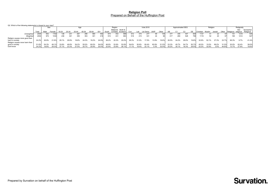#### **Religion Poll** Prepared on Behalf of the Huffington Post

|                                                   | Q2. Which of the following statements is closest to your view? |       |       |       |       |       |       |       |       |                  |         |          |           |       |          |       |       |       |                  |       |       |           |        |        |       |                     |          |           |
|---------------------------------------------------|----------------------------------------------------------------|-------|-------|-------|-------|-------|-------|-------|-------|------------------|---------|----------|-----------|-------|----------|-------|-------|-------|------------------|-------|-------|-----------|--------|--------|-------|---------------------|----------|-----------|
|                                                   |                                                                |       |       | Age   |       |       |       |       |       | Region           |         |          | Vote 2010 |       |          |       |       |       | Approximated SEG |       |       | Religion  |        |        |       | Religiosity         |          |           |
|                                                   |                                                                |       |       |       |       |       |       |       |       | Midlands North & |         |          |           |       |          |       |       |       |                  |       |       |           |        |        |       | Not                 | Somewhat |           |
|                                                   | Tota                                                           | Male  | Femal | 18-24 | 25-34 | 35-44 | 45-54 | 55-64 | $65+$ | Soutl            | & Wales | Scotland | Con       | Lab   | Lib Dems | UKIP  | Other | AB    |                  |       |       | hristiar: | Muslim | Jewish | Other | Religious religious |          | Religious |
| Unweighted                                        | 2004                                                           | 842   | 11621 | 138   | 231   |       |       |       |       | 874              | 442     |          |           |       | 277      | 69    |       |       | 345              | 447   | 835   | 1137      | 41     |        |       |                     | 1218     | 645       |
| Weighted                                          | 2004                                                           | 974   | 1030  | 236   | 341   | 355   | 353   | 301   | 419   | 910              | 431     | 663      | 518       | 415   | 331      | 44    | 90    |       | 260              | 528   |       | 1119      | 52     |        |       | 165                 | 1212     | 627       |
| Religion causes more good than<br>harm in society | 24.2%                                                          | 26.9% | 21.6% | 29.1% | 29.9% | 18.8% | 24.3% | 19.2% | 24.9% | 28.2%            | 22.2%   | 20.0%    | 28.3%     | 31.0% | 17.5%    | 13.9% | 16.6% | 26.5% | 24.2%            | 29.0% | 19.8% | 32.9%     | 52.1%  | 27.3%  | 23.7% | 66.3%               | 9.7%     | 41.4%     |
| Religion causes more harm than<br>good in society | 51.6%                                                          | 54.3% | 49.1% | 33.8% | 46.8% | 54.2% | 55.0% | 60.0% | 54.6% | 48.9%            | 53.9%   | 53.9%    | 54.6%     | 50.6% | 60.4%    | 82.8% | 51.5% | 53.3% | 45.7%            | 54.7% | 50.7% | 45.0%     | 15.0%  | 69.2%  | 31.5% | 20.0%               | 62.4%    | 39.0%     |
| Dont know                                         |                                                                | 18.8% | 29.3% | 37.1% | 23.3% | 27.0% | 20.7% | 20.9% | 20.5% | 22.9%            | 23.8%   | 26.1%    | 17.1%     | 18.4% | 22.1%    | 3.3%  | 32.0% | 20.2% | 30.1%            | 16.3% | 29.5% | 22.2%     | 32.9%  | 3.5%   | 44.8% | 13.7%               | 27.9%    | 19.6%     |